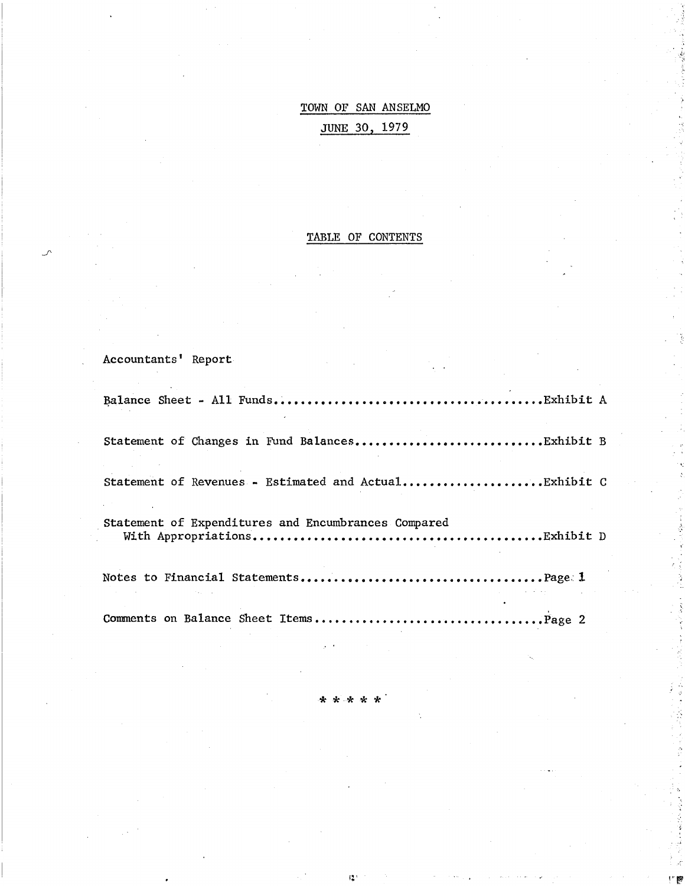# TOWN OF SAN ANSELMO JUNE 30, 1979

# TABLE OF CONTENTS

Accountants' Report

| Statement of Changes in Fund BalancesExhibit B        |  |
|-------------------------------------------------------|--|
| Statement of Revenues - Estimated and ActualExhibit C |  |
| Statement of Expenditures and Encumbrances Compared   |  |
|                                                       |  |
|                                                       |  |

\*\*\*\*\*

 $\mathbb{I}^{\bullet}_{\bullet}$ 

\'~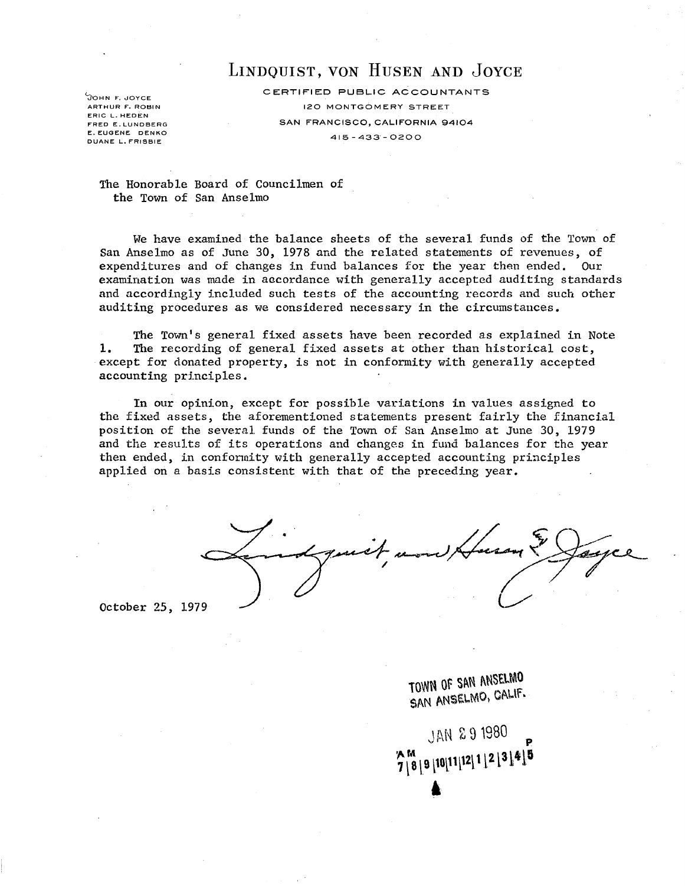# LINDQUIST, VON HUSEN AND JOYCE

JOHN F. JOYCE ARTHUR F. ROBIN ERIC L. HEDEN FRED E. LUNDBERG E. EUGENE DENKO DUANE L. FRISBIE

CERTIFIED PUBLIC ACCOUNTANTS 120 MONTGOMERY STREET SAN FRANCISCO, CALIFORNIA 94104 415 - 433' - 0200

The Honorable Board of Councilmen of the Town of San Anselmo

We have examined the balance sheets of the several funds of the Town of San Anselmo as of June 30, 1978 and the related statements of revenues, of expenditures and of changes in fund balances for the year than ended. Our examination was made in aacordance with generally accepted auditing standards and accordingly included such tests of the accounting records and such other auditing procedures as we considered necessary in the circumstances.

The Town's general fixed assets have been recorded as explained in Note **1.** The recording of general fixed assets at other than historical cost, except for donated property, is not in conformity with generally accepted accounting principles.

In our opinion, except for possible variations in values assigned to the fixed assets, the aforementioned statements present fairly the financial position of the several funds of the Town of San Anselmo at June 30, 1979 and the results of its operations and changes in fund balances for the year then ended, in conformity with generally accepted accounting principles applied on a basis consistent with that of the preceding year.

October 25, 1979

TOWN OF SAN ANSELMO SAN ANSELMO, CALIF.

JAN 291980  $7 \overline{\smash{\big)}\,8 \,}9 \, [10 \overline{[11]^{12}}] \, 1 \, [2 \, [3 \,] \, 4 \,] \, 5$ l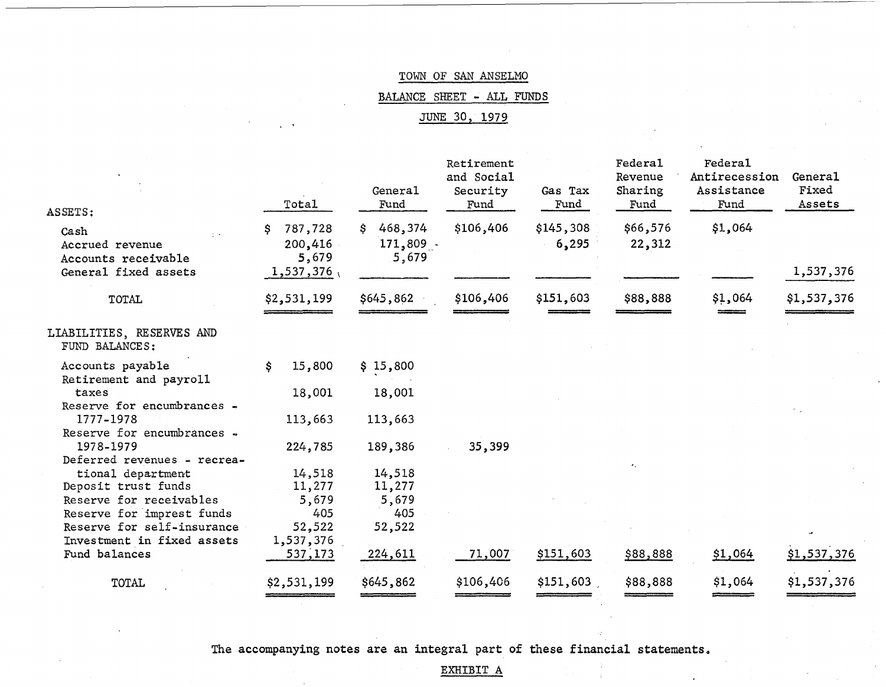BALANCE SHEET - ALL FUNDS

JUNE 30, 1979

| ASSETS:                                        | Total                       | General<br>Fund                   | Retirement<br>and Social<br>Security<br>Fund | Gas Tax<br>Fund    | <b>Federal</b><br>Revenue<br>Sharing<br>Fund | Federal<br>Antirecession<br>Assistance<br>Fund | General<br>Fixed<br>Assets |
|------------------------------------------------|-----------------------------|-----------------------------------|----------------------------------------------|--------------------|----------------------------------------------|------------------------------------------------|----------------------------|
| Cash<br>Accrued revenue<br>Accounts receivable | 787,728<br>200,416<br>5,679 | 468,374<br>S.<br>171,809<br>5,679 | \$106,406                                    | \$145,308<br>6,295 | \$66,576<br>22,312                           | \$1,064                                        |                            |
| General fixed assets<br>TOTAL                  | 1,537,376<br>\$2,531,199    | \$645,862                         | \$106,406                                    | \$151,603          | \$88,888                                     | \$1,064                                        | 1,537,376<br>\$1,537,376   |
| LIABILITIES, RESERVES AND<br>FUND BALANCES:    |                             |                                   |                                              |                    |                                              |                                                |                            |
| Accounts payable                               | \$<br>15,800                | \$15,800                          |                                              |                    |                                              |                                                |                            |
| Retirement and payroll                         |                             |                                   |                                              |                    |                                              |                                                |                            |
| taxes<br>Reserve for encumbrances -            | 18,001                      | 18,001                            |                                              |                    |                                              |                                                |                            |
| 1777-1978                                      | 113,663                     | 113,663                           |                                              |                    |                                              |                                                |                            |
| Reserve for encumbrances -                     |                             |                                   |                                              |                    |                                              |                                                |                            |
| 1978-1979                                      | 224,785                     | 189,386                           | 35,399                                       |                    |                                              |                                                |                            |
| Deferred revenues - recrea-                    |                             |                                   |                                              |                    |                                              |                                                |                            |
| tional department                              | 14,518                      | 14,518                            |                                              |                    |                                              |                                                |                            |
| Deposit trust funds                            | 11,277                      | 11,277                            |                                              |                    |                                              |                                                |                            |
| Reserve for receivables                        | 5,679                       | 5,679                             |                                              |                    |                                              |                                                |                            |
| Reserve for imprest funds                      | 405                         | 405                               |                                              |                    |                                              |                                                |                            |
| Reserve for self-insurance                     | 52,522                      | 52,522                            |                                              |                    |                                              |                                                |                            |
| Investment in fixed assets                     | 1,537,376                   |                                   |                                              |                    |                                              |                                                |                            |
| Fund balances                                  | 537,173                     | <u>224,611</u>                    | 71,007                                       | \$151,603          | \$88,888                                     | \$1,064                                        | \$1,537,376                |
| <b>TOTAL</b>                                   | \$2,531,199                 | \$645,862                         | \$106,406                                    | \$151,603          | \$88,888                                     | \$1,064                                        | \$1,537,376                |
|                                                |                             |                                   |                                              |                    |                                              |                                                |                            |

The accompanying notes are an integral part of these financial statements.

EXHIBIT A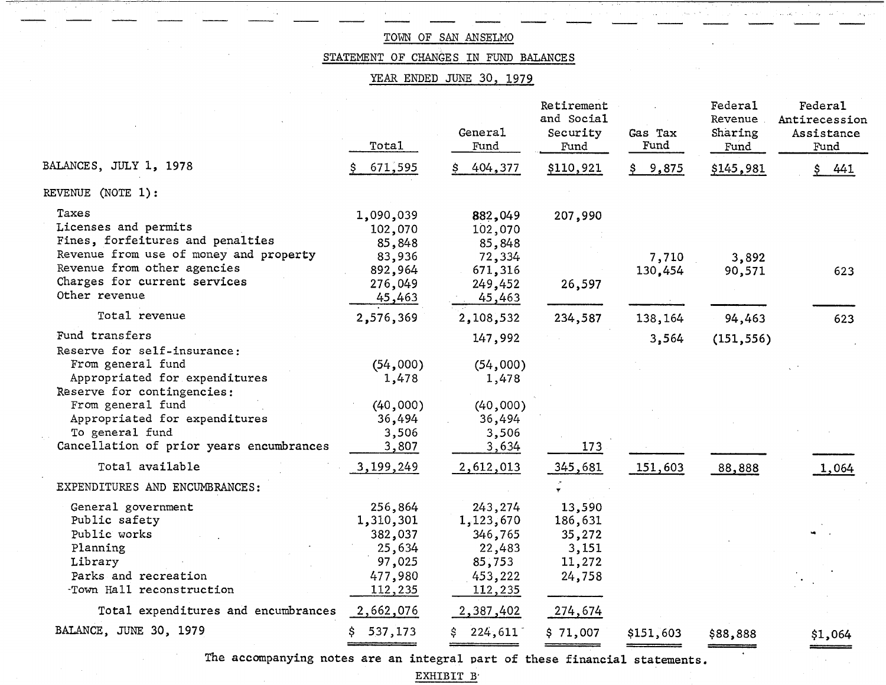STATEMENT OF CHANGES IN FUND BALANCES

YEAR ENDED JUNE 30, 1979

|                                                                                                                                                                                             | Total                                                                     | General<br>Fund                                                           | Retirement<br>and Social<br>Security<br>Fund             | Gas Tax<br>Fund  | <b>Federa1</b><br>Revenue<br>Sharing<br>Fund | Federal<br>Antirecession<br>Assistance<br>Fund |
|---------------------------------------------------------------------------------------------------------------------------------------------------------------------------------------------|---------------------------------------------------------------------------|---------------------------------------------------------------------------|----------------------------------------------------------|------------------|----------------------------------------------|------------------------------------------------|
| BALANCES, JULY 1, 1978                                                                                                                                                                      | 671,595                                                                   | 404,377                                                                   | \$110,921                                                | \$9,875          | \$145,981                                    | 441                                            |
| REVENUE (NOTE 1):                                                                                                                                                                           |                                                                           |                                                                           |                                                          |                  |                                              |                                                |
| Taxes<br>Licenses and permits<br>Fines, forfeitures and penalties<br>Revenue from use of money and property<br>Revenue from other agencies<br>Charges for current services<br>Other revenue | 1,090,039<br>102,070<br>85,848<br>83,936<br>892,964<br>276,049            | 882,049<br>102,070<br>85,848<br>72,334<br>671,316<br>249,452              | 207,990<br>26,597                                        | 7,710<br>130,454 | 3,892<br>90,571                              | 623                                            |
| Total revenue                                                                                                                                                                               | 45,463<br>2,576,369                                                       | 45,463<br>2,108,532                                                       | 234,587                                                  | 138,164          | 94,463                                       | 623                                            |
| Fund transfers<br>Reserve for self-insurance:                                                                                                                                               |                                                                           | 147,992                                                                   |                                                          | 3,564            | (151, 556)                                   |                                                |
| From general fund<br>Appropriated for expenditures<br>Reserve for contingencies:                                                                                                            | (54,000)<br>1,478                                                         | (54,000)<br>1,478                                                         |                                                          |                  |                                              |                                                |
| From general fund<br>Appropriated for expenditures<br>To general fund<br>Cancellation of prior years encumbrances                                                                           | (40,000)<br>36,494<br>3,506<br>3,807                                      | (40,000)<br>36,494<br>3,506<br>3,634                                      | 173                                                      |                  |                                              |                                                |
| Total available                                                                                                                                                                             | 3,199,249                                                                 | 2,612,013                                                                 | 345,681                                                  | 151,603          | 88,888                                       | 1,064                                          |
| EXPENDITURES AND ENCUMBRANCES:                                                                                                                                                              |                                                                           |                                                                           |                                                          |                  |                                              |                                                |
| General government<br>Public safety<br>Public works<br>Planning<br>Library<br>Parks and recreation<br>Town Hall reconstruction                                                              | 256,864<br>1,310,301<br>382,037<br>25,634<br>97,025<br>477,980<br>112,235 | 243,274<br>1,123,670<br>346,765<br>22,483<br>85,753<br>453,222<br>112,235 | 13,590<br>186,631<br>35,272<br>3,151<br>11,272<br>24,758 |                  |                                              |                                                |
| Total expenditures and encumbrances<br>BALANCE, JUNE 30, 1979                                                                                                                               | 2,662,076                                                                 | 2,387,402                                                                 | 274,674                                                  |                  |                                              |                                                |
|                                                                                                                                                                                             | 537,173<br>S.                                                             | 224,611<br>\$.                                                            | \$71,007                                                 | \$151,603        | \$88,888                                     | \$1,064                                        |

The accompanying notes are an integral part of these financial statements.

EXHIBIT B'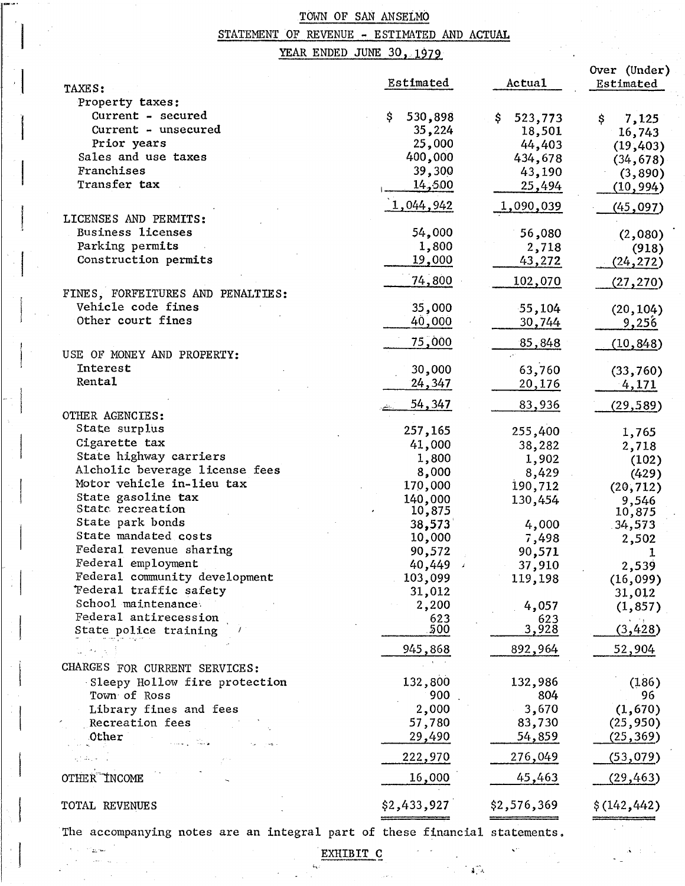# STATEMENT OF REVENUE - ESTIMATED AND ACTUAL

,  $\begin{bmatrix} 1 \\ 1 \end{bmatrix}$ 

# YEAR ENDED JUNE 30, 1979

|                                                                            |               |                  | Over (Under) |
|----------------------------------------------------------------------------|---------------|------------------|--------------|
| TAXES:                                                                     | Estimated     | Actual           | Estimated    |
| Property taxes:                                                            |               |                  |              |
| Current - secured                                                          | \$<br>530,898 | \$<br>523,773    | \$<br>7,125  |
| Current - unsecured                                                        | 35,224        | 18,501           | 16,743       |
| Prior years                                                                | 25,000        | 44,403           | (19, 403)    |
| Sales and use taxes                                                        | 400,000       | 434,678          | (34, 678)    |
| Franchises                                                                 | 39,300        | 43,190           | (3, 890)     |
| Transfer tax                                                               | 14,500        | 25,494           | (10, 994)    |
|                                                                            | 1,044,942     | <u>1,090,039</u> | (45, 097)    |
| LICENSES AND PERMITS:                                                      |               |                  |              |
| <b>Business licenses</b>                                                   | 54,000        | 56,080           | (2,080)      |
| Parking permits                                                            | 1,800         | 2,718            | (918)        |
| Construction permits                                                       | <u>19,000</u> | 43,272           | (24, 272)    |
|                                                                            | 74,800        | 102,070          | (27, 270)    |
| FINES, FORFEITURES AND PENALTIES:                                          |               |                  |              |
| Vehicle code fines                                                         | 35,000        | $-55,104$        | (20, 104)    |
| Other court fines                                                          | 40,000        | <u>30,744</u>    | 9,256        |
|                                                                            | 75,000        | 85,848           | (10, 848)    |
| USE OF MONEY AND PROPERTY:                                                 |               |                  |              |
| Interest                                                                   | 30,000        | 63,760           | (33, 760)    |
| Rental                                                                     | <u>24,347</u> | 20,176           | 4,171        |
|                                                                            | <u>54,347</u> | 83,936           | (29, 589)    |
| OTHER AGENCIES:                                                            |               |                  |              |
| State surplus                                                              | 257,165       | 255,400          | 1,765        |
| Cigarette tax                                                              | 41,000        | 38,282           | 2,718        |
| State highway carriers                                                     | 1,800         | 1,902            | (102)        |
| Alcholic beverage license fees                                             | 8,000         | 8,429            | (429)        |
| Motor vehicle in-lieu tax                                                  | 170,000       | 190,712          | (20, 712)    |
| State gasoline tax                                                         | 140,000       | 130,454          | 9,546        |
| State recreation                                                           | 10,875        |                  | 10,875       |
| State park bonds                                                           | 38,573        | 4,000            | 34,573       |
| State mandated costs                                                       | 10,000        | 7,498            | 2,502        |
| Federal revenue sharing                                                    | 90,572        | 90,571           |              |
| Federal employment                                                         | 40,449        | 37,910           | 2,539        |
| Federal community development                                              | 103,099       | 119,198          | (16, 099)    |
| Federal traffic safety                                                     | 31,012        |                  | 31,012       |
| School maintenance                                                         | 2,200         | 4,057            | (1, 857)     |
| Federal antirecession                                                      | 623<br>500    | 623              |              |
| State police training                                                      |               | 3,928            | (3, 428)     |
|                                                                            | 945,868       | 892,964          | 52,904       |
| CHARGES FOR CURRENT SERVICES:                                              |               |                  |              |
| Sleepy Hollow fire protection                                              | 132,800       | 132,986          | (186)        |
| Town of Ross                                                               | 900           | 804              | 96           |
| Library fines and fees                                                     | 2,000         | 3,670            | (1,670)      |
| Recreation fees                                                            | 57,780        | 83,730           | (25, 950)    |
| Other                                                                      | 29,490        | 54,859           | (25, 369)    |
| سينقاره                                                                    | 222,970       | 276,049          | (53,079)     |
| OTHER INCOME                                                               | 16,000        | 45,463           | (29, 463)    |
|                                                                            |               |                  |              |
| TOTAL REVENUES                                                             | \$2,433,927   | \$2,576,369      | \$(142, 442) |
| The accompanying notes are an integral part of these financial statements. |               |                  |              |

EXHIBIT C

 $\sim 10^{11}$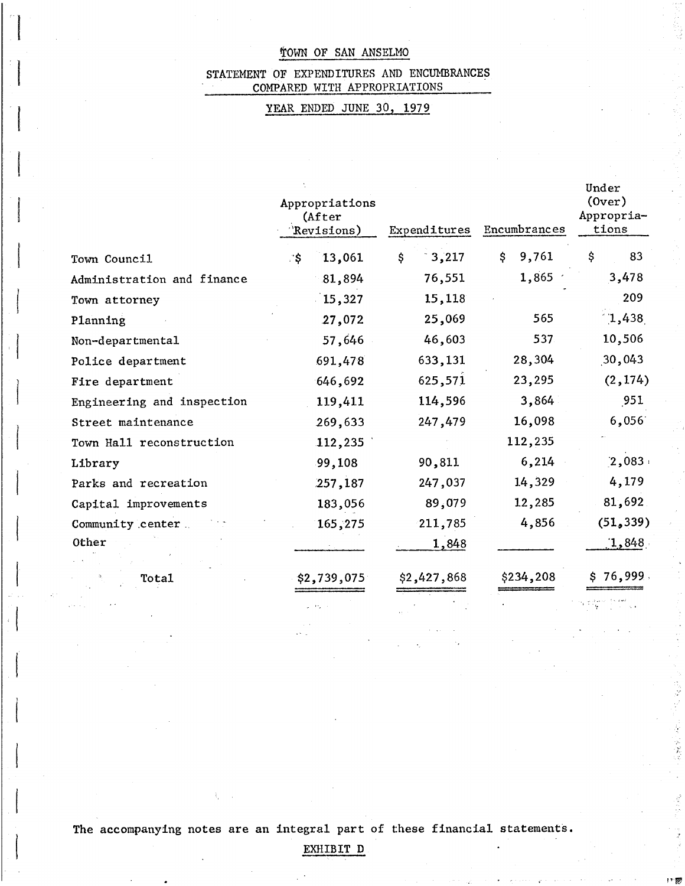### STATEMENT OF EXPENDITURES AND ENCUMBRANCES COMPARED WITH APPROPRIATIONS

## YEAR ENDED JUNE 30, 1979

|                            | Appropriations<br>(After<br>Revisions) | Expenditures | Encumbrances | Under<br>(0ver)<br>Appropria-<br>tions |
|----------------------------|----------------------------------------|--------------|--------------|----------------------------------------|
| Town Council               | 13,061<br>∴\$∶                         | 3,217<br>\$  | 9,761<br>\$  | \$<br>83                               |
| Administration and finance | 81,894                                 | 76,551       | 1,865        | 3,478                                  |
| Town attorney              | 15,327                                 | 15,118       |              | 209                                    |
| Planning                   | 27,072                                 | 25,069       | 565          | 1,438                                  |
| Non-departmental           | 57,646                                 | 46,603       | 537          | 10,506                                 |
| Police department          | 691,478                                | 633,131      | 28,304       | 30,043                                 |
| Fire department            | 646,692                                | 625,571      | 23,295       | (2, 174)                               |
| Engineering and inspection | 119,411                                | 114,596      | 3,864        | 951                                    |
| Street maintenance         | 269,633                                | 247,479      | 16,098       | 6,056                                  |
| Town Hall reconstruction   | 112,235                                |              | 112,235      |                                        |
| Library                    | 99,108                                 | 90,811       | 6,214        | 2,083                                  |
| Parks and recreation       | 257,187                                | 247,037      | 14,329       | 4,179                                  |
| Capital improvements       | 183,056                                | 89,079       | 12,285       | 81,692                                 |
| Community center           | 165,275                                | 211,785      | 4,856        | (51, 339)                              |
| Other                      |                                        | 1,848        |              | 1,848                                  |
|                            |                                        |              |              |                                        |
| Total                      | \$2,739,075                            | \$2,427,868  | \$234,208    | \$76,999                               |
|                            |                                        |              |              |                                        |

 $\begin{array}{c} \begin{array}{c} \begin{array}{c} \end{array} \end{array}$ 

The accompanying notes are an integral part of these financial statements.

EXHIBIT D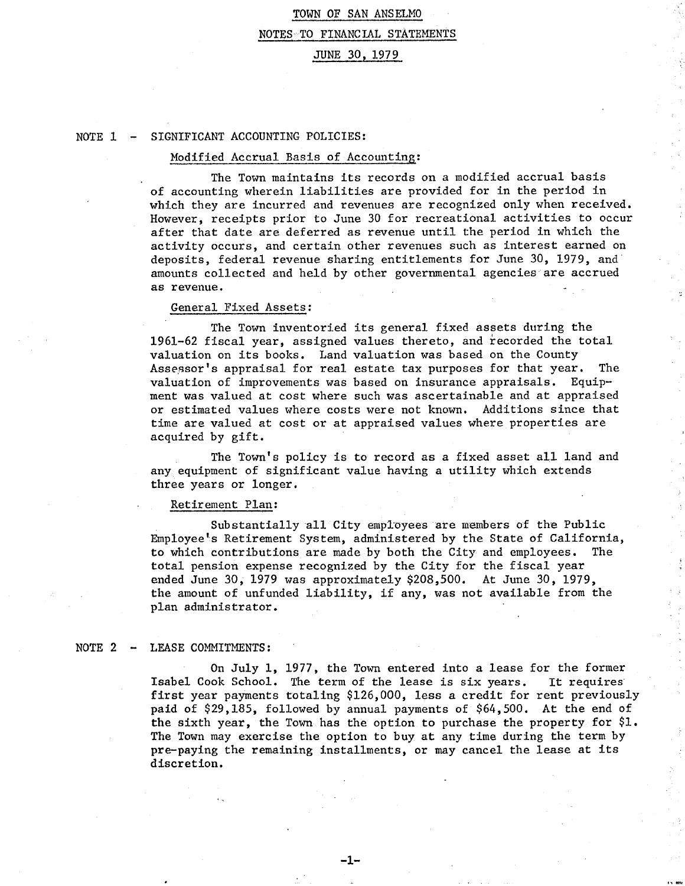# TOWN OF SAN ANSELMO NOTES TO FINANCIAL STATEMENTS JUNE 30, 1979

### NOTE 1 SIGNIFICANT ACCOUNTING POLICIES:

#### Modified Accrual Basis of Accounting:

The Town maintains its records on a modified accrual basis of accounting wherein liabilities are provided for in the period in which they are incurred and revenues are recognized only when received. However, receipts prior to June 30 for recreational activities to occur after that date are deferred as revenue until the period in which the activity occurs, and certain other revenues such as interest earned on deposits, federal revenue sharing entitlements for June 30, 1979, and amounts collected and held by other governmental agencies are accrued as revenue.

#### General Fixed Assets:

The Town inventoried its general fixed assets during the 1961-62 fiscal year, assigned values thereto, and recorded the total valuation on its books. Land valuation was based on the County Assessor's appraisal for real estate tax purposes for that year. The valuation of improvements was based on insurance appraisals. Equipment was valued at cost where such was ascertainable and at appraised or estimated values where costs were not known. Additions since that time are valued at cost or at appraised values where properties are acquired by gift.

The Town's policy is to record as a fixed asset all land and any equipment of significant value having a utility which extends three years or longer.

#### Retirement Plan:

Substantially all City employees are members of the Public Employee's Retirement System, administered by the State of California, to which contributions are made by both the City and employees. The total pension expense recognized by the City for the fiscal year ended June 30, 1979 was approximately \$208,500. At June 30, 1979, the amount of unfunded liability, if any, was not available from the plan administrator.

#### $NOTE 2 -$ LEASE COMMITMENTS:

On July 1, 1977, the Town entered into a lease for the former Isabel Cook School. The term of the lease is six years. It requires first year payments totaling \$126,000, less a credit for rent previously paid of \$29,185, followed by annual payments of \$64,500. At the end of the sixth year, the Town has the option to purchase the property for \$1. The Town may exercise the option to buy at any time during the term by pre-paying the remaining installments, or may cancel the lease at its discretion.

**-1-**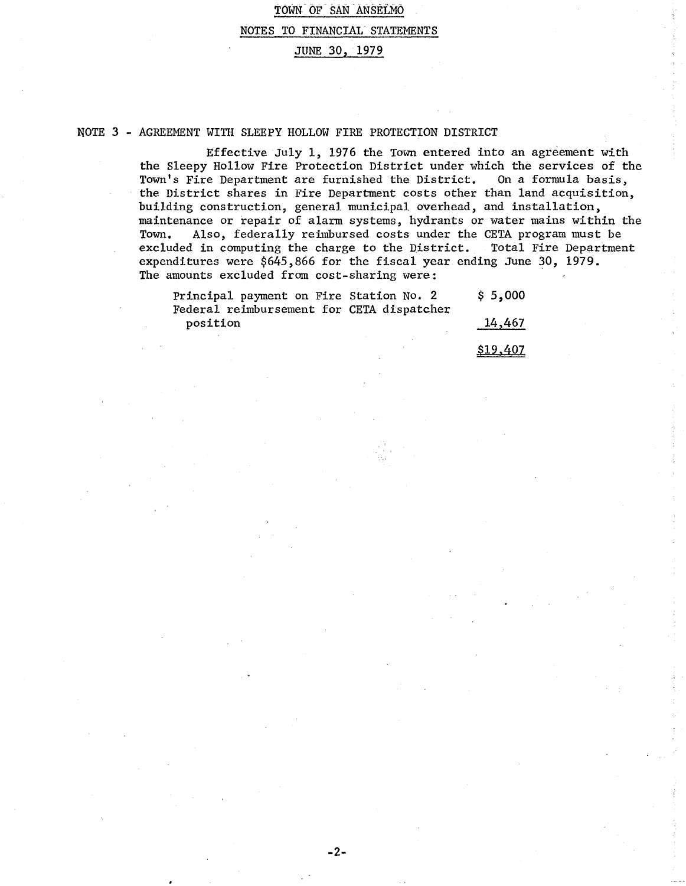NOTE 3 - AGREEMENT WITH SLEEPY HOLLOW FIRE PROTECTION DISTRICT

Effective July 1, 1976 the Town entered into an agreement with the Sleepy Hollow Fire Protection District under which the services of the TOwn's Fire Department are furnished the District. On a formula basis, the District shares in Fire Department costs other than land acquisition, building construction, general municipal overhead, and installation, maintenance or repair of alarm systems, hydrants or water mains within the<br>Town. Also, federally reimbursed costs under the CETA program must be Also, federally reimbursed costs under the CETA program must be excluded in computing the charge to the District. Total Fire Department expenditures were \$645,866 for the fiscal year ending June 30, 1979. The amounts excluded from cost-sharing were:

| Principal payment on Fire Station No. 2   | \$5,000 |
|-------------------------------------------|---------|
| Federal reimbursement for CETA dispatcher |         |
| position                                  | 14,467  |
|                                           |         |

\$19,407